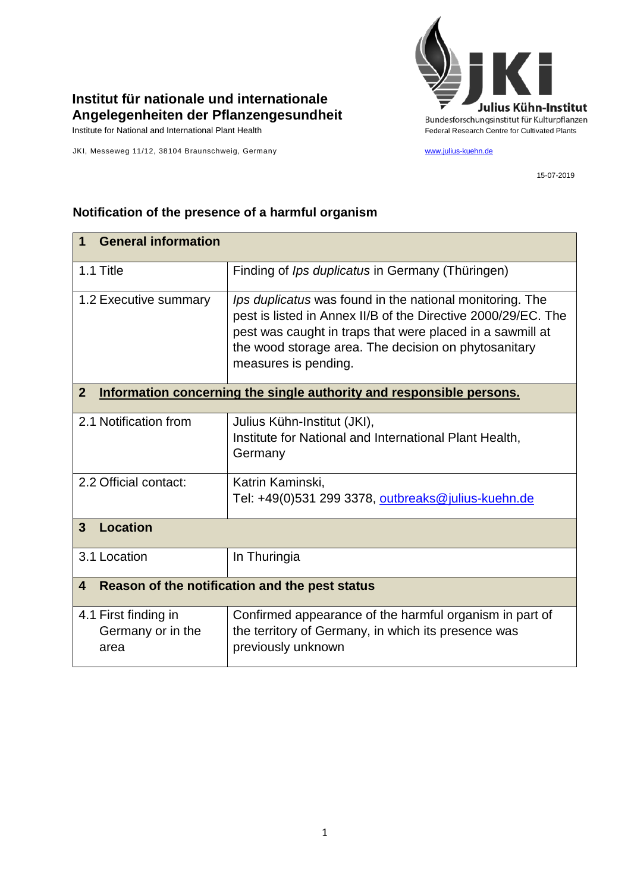## **Institut für nationale und internationale Angelegenheiten der Pflanzengesundheit**

JKI, Messeweg 11/12, 38104 Braunschweig, Germany [www.julius-kuehn.de](http://www.julius-kuehn.de/)



15-07-2019

## **1 General information** 1.1 Title Finding of *Ips duplicatus* in Germany (Thüringen) 1.2 Executive summary *I lps duplicatus* was found in the national monitoring. The pest is listed in Annex II/B of the Directive 2000/29/EC. The pest was caught in traps that were placed in a sawmill at the wood storage area. The decision on phytosanitary measures is pending. **2 Information concerning the single authority and responsible persons.** 2.1 Notification from Julius Kühn-Institut (JKI), Institute for National and International Plant Health, **Germany** 2.2 Official contact: Katrin Kaminski, Tel: +49(0)531 299 3378, [outbreaks@julius-kuehn.de](mailto:outbreaks@julius-kuehn.de) **3 Location**  3.1 Location | In Thuringia **4 Reason of the notification and the pest status** 4.1 First finding in Germany or in the area Confirmed appearance of the harmful organism in part of the territory of Germany, in which its presence was previously unknown

## **Notification of the presence of a harmful organism**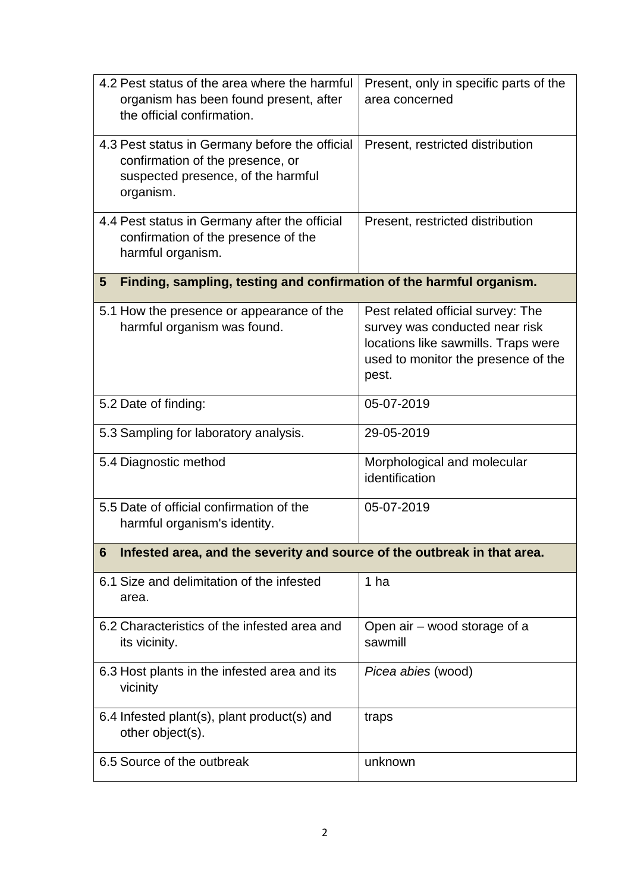| 4.2 Pest status of the area where the harmful<br>organism has been found present, after<br>the official confirmation.                 | Present, only in specific parts of the<br>area concerned                                                                                                   |  |
|---------------------------------------------------------------------------------------------------------------------------------------|------------------------------------------------------------------------------------------------------------------------------------------------------------|--|
| 4.3 Pest status in Germany before the official<br>confirmation of the presence, or<br>suspected presence, of the harmful<br>organism. | Present, restricted distribution                                                                                                                           |  |
| 4.4 Pest status in Germany after the official<br>confirmation of the presence of the<br>harmful organism.                             | Present, restricted distribution                                                                                                                           |  |
| Finding, sampling, testing and confirmation of the harmful organism.<br>$5\phantom{1}$                                                |                                                                                                                                                            |  |
| 5.1 How the presence or appearance of the<br>harmful organism was found.                                                              | Pest related official survey: The<br>survey was conducted near risk<br>locations like sawmills. Traps were<br>used to monitor the presence of the<br>pest. |  |
| 5.2 Date of finding:                                                                                                                  | 05-07-2019                                                                                                                                                 |  |
| 5.3 Sampling for laboratory analysis.                                                                                                 | 29-05-2019                                                                                                                                                 |  |
| 5.4 Diagnostic method                                                                                                                 | Morphological and molecular<br>identification                                                                                                              |  |
| 5.5 Date of official confirmation of the<br>harmful organism's identity.                                                              | 05-07-2019                                                                                                                                                 |  |
| 6<br>Infested area, and the severity and source of the outbreak in that area.                                                         |                                                                                                                                                            |  |
| 6.1 Size and delimitation of the infested<br>area.                                                                                    | 1 ha                                                                                                                                                       |  |
| 6.2 Characteristics of the infested area and<br>its vicinity.                                                                         | Open air - wood storage of a<br>sawmill                                                                                                                    |  |
| 6.3 Host plants in the infested area and its<br>vicinity                                                                              | Picea abies (wood)                                                                                                                                         |  |
| 6.4 Infested plant(s), plant product(s) and<br>other object(s).                                                                       | traps                                                                                                                                                      |  |
| 6.5 Source of the outbreak                                                                                                            | unknown                                                                                                                                                    |  |